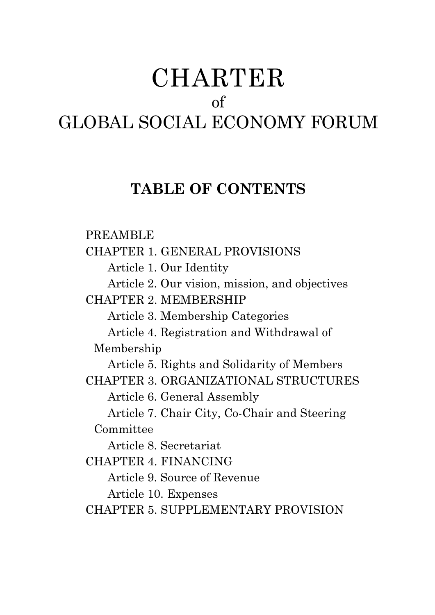# CHARTER of GLOBAL SOCIAL ECONOMY FORUM

## **TABLE OF CONTENTS**

PREAMBLE CHAPTER 1. GENERAL PROVISIONS Article 1. Our Identity Article 2. Our vision, mission, and objectives CHAPTER 2. MEMBERSHIP Article 3. Membership Categories Article 4. Registration and Withdrawal of Membership Article 5. Rights and Solidarity of Members CHAPTER 3. ORGANIZATIONAL STRUCTURES Article 6. General Assembly Article 7. Chair City, Co-Chair and Steering Committee Article 8. Secretariat CHAPTER 4. FINANCING Article 9. Source of Revenue Article 10. Expenses CHAPTER 5. SUPPLEMENTARY PROVISION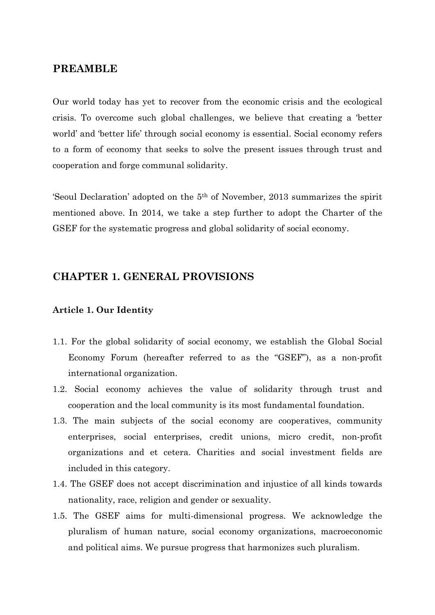## **PREAMBLE**

Our world today has yet to recover from the economic crisis and the ecological crisis. To overcome such global challenges, we believe that creating a 'better world' and 'better life' through social economy is essential. Social economy refers to a form of economy that seeks to solve the present issues through trust and cooperation and forge communal solidarity.

'Seoul Declaration' adopted on the 5th of November, 2013 summarizes the spirit mentioned above. In 2014, we take a step further to adopt the Charter of the GSEF for the systematic progress and global solidarity of social economy.

## **CHAPTER 1. GENERAL PROVISIONS**

## **Article 1. Our Identity**

- 1.1. For the global solidarity of social economy, we establish the Global Social Economy Forum (hereafter referred to as the "GSEF"), as a non-profit international organization.
- 1.2. Social economy achieves the value of solidarity through trust and cooperation and the local community is its most fundamental foundation.
- 1.3. The main subjects of the social economy are cooperatives, community enterprises, social enterprises, credit unions, micro credit, non-profit organizations and et cetera. Charities and social investment fields are included in this category.
- 1.4. The GSEF does not accept discrimination and injustice of all kinds towards nationality, race, religion and gender or sexuality.
- 1.5. The GSEF aims for multi-dimensional progress. We acknowledge the pluralism of human nature, social economy organizations, macroeconomic and political aims. We pursue progress that harmonizes such pluralism.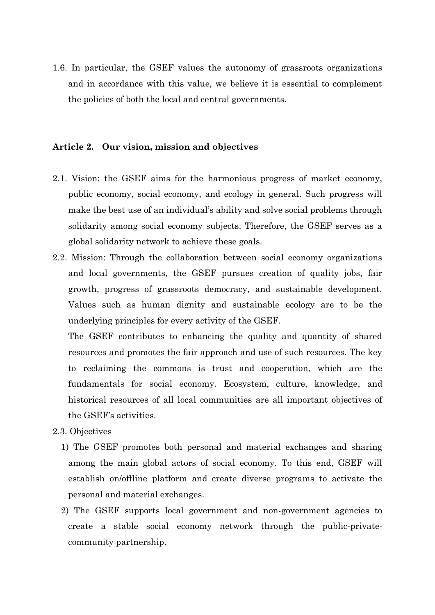1.6. In particular, the GSEF values the autonomy of grassroots organizations and in accordance with this value, we believe it is essential to complement the policies of both the local and central governments.

## **Article 2. Our vision, mission and objectives**

- 2.1. Vision: the GSEF aims for the harmonious progress of market economy, public economy, social economy, and ecology in general. Such progress will make the best use of an individual's ability and solve social problems through solidarity among social economy subjects. Therefore, the GSEF serves as a global solidarity network to achieve these goals.
- 2.2. Mission: Through the collaboration between social economy organizations and local governments, the GSEF pursues creation of quality jobs, fair growth, progress of grassroots democracy, and sustainable development. Values such as human dignity and sustainable ecology are to be the underlying principles for every activity of the GSEF.

The GSEF contributes to enhancing the quality and quantity of shared resources and promotes the fair approach and use of such resources. The key to reclaiming the commons is trust and cooperation, which are the fundamentals for social economy. Ecosystem, culture, knowledge, and historical resources of all local communities are all important objectives of the GSEF's activities.

- 2.3. Objectives
	- 1) The GSEF promotes both personal and material exchanges and sharing among the main global actors of social economy. To this end, GSEF will establish on/offline platform and create diverse programs to activate the personal and material exchanges.
	- 2) The GSEF supports local government and non-government agencies to create a stable social economy network through the public-privatecommunity partnership.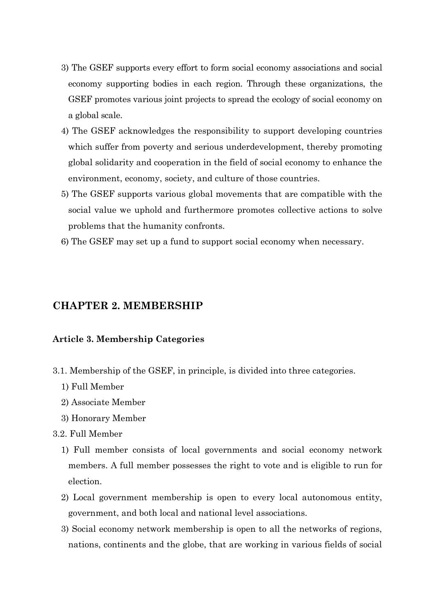- 3) The GSEF supports every effort to form social economy associations and social economy supporting bodies in each region. Through these organizations, the GSEF promotes various joint projects to spread the ecology of social economy on a global scale.
- 4) The GSEF acknowledges the responsibility to support developing countries which suffer from poverty and serious underdevelopment, thereby promoting global solidarity and cooperation in the field of social economy to enhance the environment, economy, society, and culture of those countries.
- 5) The GSEF supports various global movements that are compatible with the social value we uphold and furthermore promotes collective actions to solve problems that the humanity confronts.
- 6) The GSEF may set up a fund to support social economy when necessary.

## **CHAPTER 2. MEMBERSHIP**

#### **Article 3. Membership Categories**

- 3.1. Membership of the GSEF, in principle, is divided into three categories.
	- 1) Full Member
	- 2) Associate Member
	- 3) Honorary Member
- 3.2. Full Member
	- 1) Full member consists of local governments and social economy network members. A full member possesses the right to vote and is eligible to run for election.
	- 2) Local government membership is open to every local autonomous entity, government, and both local and national level associations.
	- 3) Social economy network membership is open to all the networks of regions, nations, continents and the globe, that are working in various fields of social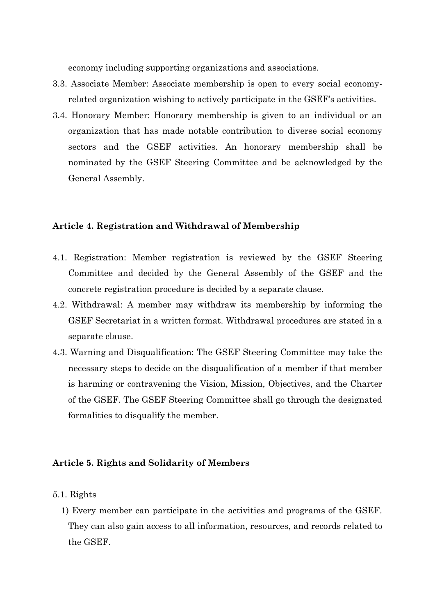economy including supporting organizations and associations.

- 3.3. Associate Member: Associate membership is open to every social economyrelated organization wishing to actively participate in the GSEF's activities.
- 3.4. Honorary Member: Honorary membership is given to an individual or an organization that has made notable contribution to diverse social economy sectors and the GSEF activities. An honorary membership shall be nominated by the GSEF Steering Committee and be acknowledged by the General Assembly.

#### **Article 4. Registration and Withdrawal of Membership**

- 4.1. Registration: Member registration is reviewed by the GSEF Steering Committee and decided by the General Assembly of the GSEF and the concrete registration procedure is decided by a separate clause.
- 4.2. Withdrawal: A member may withdraw its membership by informing the GSEF Secretariat in a written format. Withdrawal procedures are stated in a separate clause.
- 4.3. Warning and Disqualification: The GSEF Steering Committee may take the necessary steps to decide on the disqualification of a member if that member is harming or contravening the Vision, Mission, Objectives, and the Charter of the GSEF. The GSEF Steering Committee shall go through the designated formalities to disqualify the member.

#### **Article 5. Rights and Solidarity of Members**

- 5.1. Rights
	- 1) Every member can participate in the activities and programs of the GSEF. They can also gain access to all information, resources, and records related to the GSEF.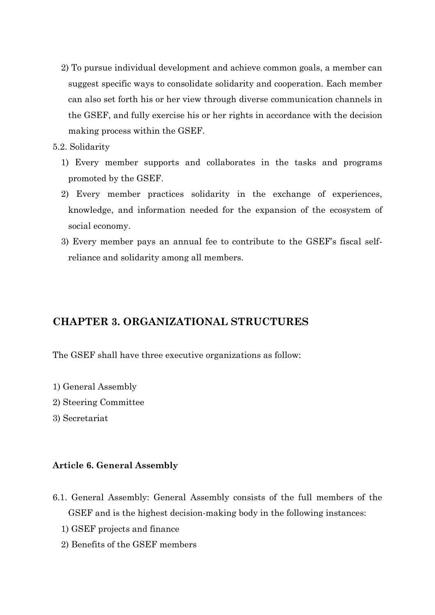- 2) To pursue individual development and achieve common goals, a member can suggest specific ways to consolidate solidarity and cooperation. Each member can also set forth his or her view through diverse communication channels in the GSEF, and fully exercise his or her rights in accordance with the decision making process within the GSEF.
- 5.2. Solidarity
	- 1) Every member supports and collaborates in the tasks and programs promoted by the GSEF.
	- 2) Every member practices solidarity in the exchange of experiences, knowledge, and information needed for the expansion of the ecosystem of social economy.
	- 3) Every member pays an annual fee to contribute to the GSEF's fiscal selfreliance and solidarity among all members.

## **CHAPTER 3. ORGANIZATIONAL STRUCTURES**

The GSEF shall have three executive organizations as follow:

- 1) General Assembly
- 2) Steering Committee
- 3) Secretariat

## **Article 6. General Assembly**

- 6.1. General Assembly: General Assembly consists of the full members of the GSEF and is the highest decision-making body in the following instances:
	- 1) GSEF projects and finance
	- 2) Benefits of the GSEF members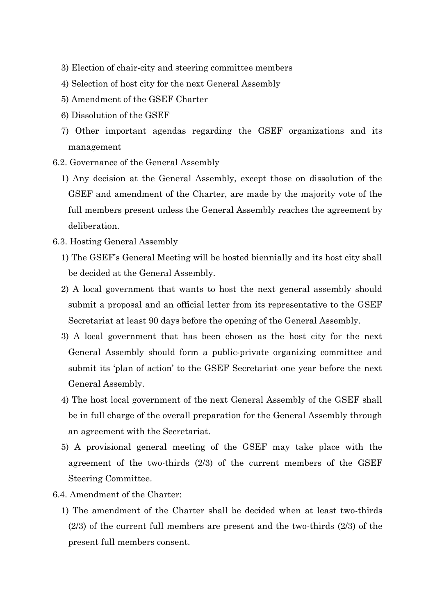- 3) Election of chair-city and steering committee members
- 4) Selection of host city for the next General Assembly
- 5) Amendment of the GSEF Charter
- 6) Dissolution of the GSEF
- 7) Other important agendas regarding the GSEF organizations and its management
- 6.2. Governance of the General Assembly
	- 1) Any decision at the General Assembly, except those on dissolution of the GSEF and amendment of the Charter, are made by the majority vote of the full members present unless the General Assembly reaches the agreement by deliberation.
- 6.3. Hosting General Assembly
	- 1) The GSEF's General Meeting will be hosted biennially and its host city shall be decided at the General Assembly.
	- 2) A local government that wants to host the next general assembly should submit a proposal and an official letter from its representative to the GSEF Secretariat at least 90 days before the opening of the General Assembly.
	- 3) A local government that has been chosen as the host city for the next General Assembly should form a public-private organizing committee and submit its 'plan of action' to the GSEF Secretariat one year before the next General Assembly.
	- 4) The host local government of the next General Assembly of the GSEF shall be in full charge of the overall preparation for the General Assembly through an agreement with the Secretariat.
	- 5) A provisional general meeting of the GSEF may take place with the agreement of the two-thirds (2/3) of the current members of the GSEF Steering Committee.
- 6.4. Amendment of the Charter:
	- 1) The amendment of the Charter shall be decided when at least two-thirds (2/3) of the current full members are present and the two-thirds (2/3) of the present full members consent.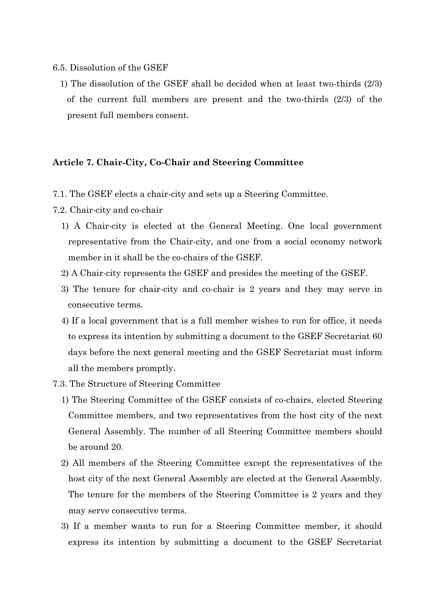#### 6.5. Dissolution of the GSEF

1) The dissolution of the GSEF shall be decided when at least two-thirds (2/3) of the current full members are present and the two-thirds (2/3) of the present full members consent.

### **Article 7. Chair-City, Co-Chair and Steering Committee**

- 7.1. The GSEF elects a chair-city and sets up a Steering Committee.
- 7.2. Chair-city and co-chair
	- 1) A Chair-city is elected at the General Meeting. One local government representative from the Chair-city, and one from a social economy network member in it shall be the co-chairs of the GSEF.
	- 2) A Chair-city represents the GSEF and presides the meeting of the GSEF.
	- 3) The tenure for chair-city and co-chair is 2 years and they may serve in consecutive terms.
	- 4) If a local government that is a full member wishes to run for office, it needs to express its intention by submitting a document to the GSEF Secretariat 60 days before the next general meeting and the GSEF Secretariat must inform all the members promptly.
- 7.3. The Structure of Steering Committee
	- 1) The Steering Committee of the GSEF consists of co-chairs, elected Steering Committee members, and two representatives from the host city of the next General Assembly. The number of all Steering Committee members should be around 20.
	- 2) All members of the Steering Committee except the representatives of the host city of the next General Assembly are elected at the General Assembly. The tenure for the members of the Steering Committee is 2 years and they may serve consecutive terms.
	- 3) If a member wants to run for a Steering Committee member, it should express its intention by submitting a document to the GSEF Secretariat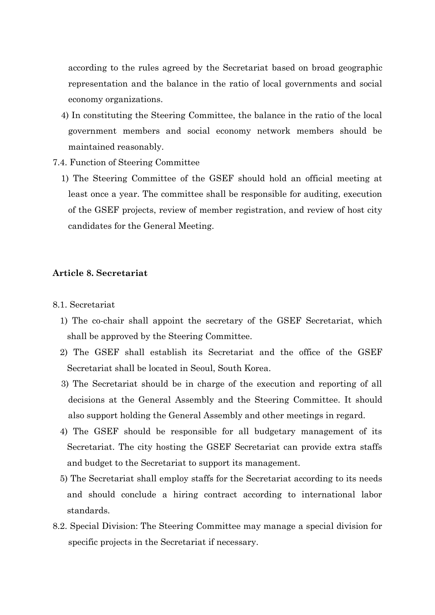according to the rules agreed by the Secretariat based on broad geographic representation and the balance in the ratio of local governments and social economy organizations.

- 4) In constituting the Steering Committee, the balance in the ratio of the local government members and social economy network members should be maintained reasonably.
- 7.4. Function of Steering Committee
	- 1) The Steering Committee of the GSEF should hold an official meeting at least once a year. The committee shall be responsible for auditing, execution of the GSEF projects, review of member registration, and review of host city candidates for the General Meeting.

## **Article 8. Secretariat**

- 8.1. Secretariat
	- 1) The co-chair shall appoint the secretary of the GSEF Secretariat, which shall be approved by the Steering Committee.
	- 2) The GSEF shall establish its Secretariat and the office of the GSEF Secretariat shall be located in Seoul, South Korea.
	- 3) The Secretariat should be in charge of the execution and reporting of all decisions at the General Assembly and the Steering Committee. It should also support holding the General Assembly and other meetings in regard.
	- 4) The GSEF should be responsible for all budgetary management of its Secretariat. The city hosting the GSEF Secretariat can provide extra staffs and budget to the Secretariat to support its management.
	- 5) The Secretariat shall employ staffs for the Secretariat according to its needs and should conclude a hiring contract according to international labor standards.
- 8.2. Special Division: The Steering Committee may manage a special division for specific projects in the Secretariat if necessary.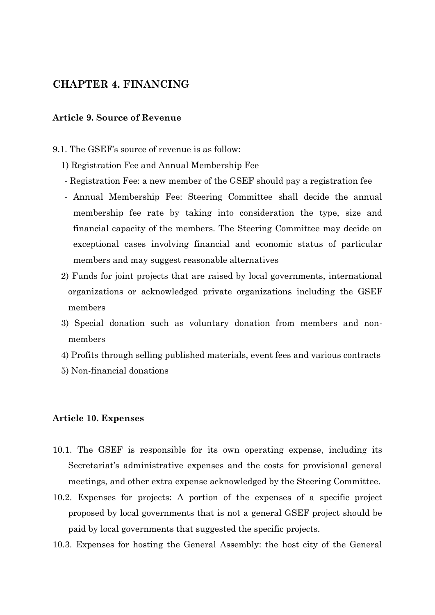## **CHAPTER 4. FINANCING**

## **Article 9. Source of Revenue**

9.1. The GSEF's source of revenue is as follow:

1) Registration Fee and Annual Membership Fee

- Registration Fee: a new member of the GSEF should pay a registration fee
- Annual Membership Fee: Steering Committee shall decide the annual membership fee rate by taking into consideration the type, size and financial capacity of the members. The Steering Committee may decide on exceptional cases involving financial and economic status of particular members and may suggest reasonable alternatives
- 2) Funds for joint projects that are raised by local governments, international organizations or acknowledged private organizations including the GSEF members
- 3) Special donation such as voluntary donation from members and nonmembers
- 4) Profits through selling published materials, event fees and various contracts
- 5) Non-financial donations

#### **Article 10. Expenses**

- 10.1. The GSEF is responsible for its own operating expense, including its Secretariat's administrative expenses and the costs for provisional general meetings, and other extra expense acknowledged by the Steering Committee.
- 10.2. Expenses for projects: A portion of the expenses of a specific project proposed by local governments that is not a general GSEF project should be paid by local governments that suggested the specific projects.
- 10.3. Expenses for hosting the General Assembly: the host city of the General